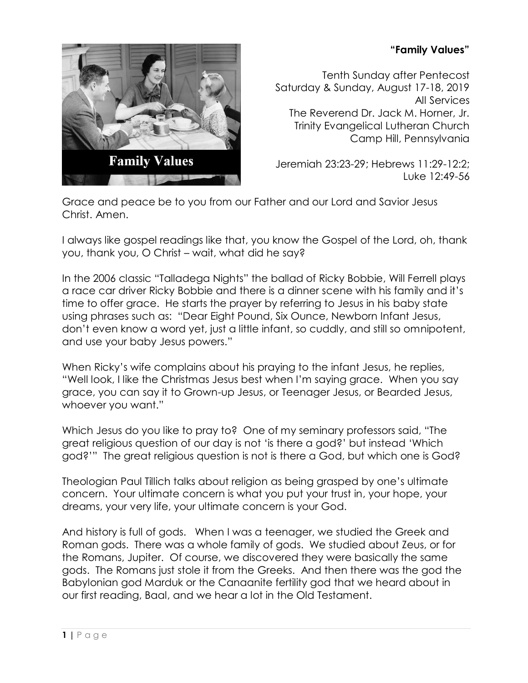## **"Family Values"**



Tenth Sunday after Pentecost Saturday & Sunday, August 17-18, 2019 All Services The Reverend Dr. Jack M. Horner, Jr. Trinity Evangelical Lutheran Church Camp Hill, Pennsylvania

Jeremiah 23:23-29; Hebrews 11:29-12:2; Luke 12:49-56

Grace and peace be to you from our Father and our Lord and Savior Jesus Christ. Amen.

I always like gospel readings like that, you know the Gospel of the Lord, oh, thank you, thank you, O Christ – wait, what did he say?

In the 2006 classic "Talladega Nights" the ballad of Ricky Bobbie, Will Ferrell plays a race car driver Ricky Bobbie and there is a dinner scene with his family and it's time to offer grace. He starts the prayer by referring to Jesus in his baby state using phrases such as: "Dear Eight Pound, Six Ounce, Newborn Infant Jesus, don't even know a word yet, just a little infant, so cuddly, and still so omnipotent, and use your baby Jesus powers."

When Ricky's wife complains about his praying to the infant Jesus, he replies, "Well look, I like the Christmas Jesus best when I'm saying grace. When you say grace, you can say it to Grown-up Jesus, or Teenager Jesus, or Bearded Jesus, whoever you want."

Which Jesus do you like to pray to? One of my seminary professors said, "The great religious question of our day is not 'is there a god?' but instead 'Which god?'" The great religious question is not is there a God, but which one is God?

Theologian Paul Tillich talks about religion as being grasped by one's ultimate concern. Your ultimate concern is what you put your trust in, your hope, your dreams, your very life, your ultimate concern is your God.

And history is full of gods. When I was a teenager, we studied the Greek and Roman gods. There was a whole family of gods. We studied about Zeus, or for the Romans, Jupiter. Of course, we discovered they were basically the same gods. The Romans just stole it from the Greeks. And then there was the god the Babylonian god Marduk or the Canaanite fertility god that we heard about in our first reading, Baal, and we hear a lot in the Old Testament.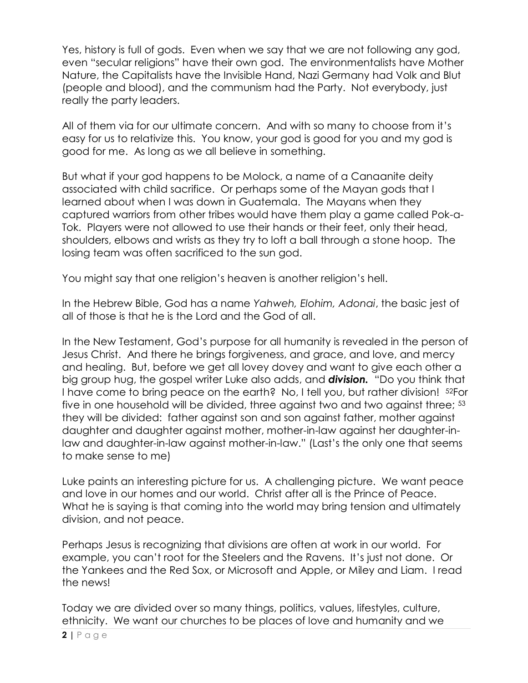Yes, history is full of gods. Even when we say that we are not following any god, even "secular religions" have their own god. The environmentalists have Mother Nature, the Capitalists have the Invisible Hand, Nazi Germany had Volk and Blut (people and blood), and the communism had the Party. Not everybody, just really the party leaders.

All of them via for our ultimate concern. And with so many to choose from it's easy for us to relativize this. You know, your god is good for you and my god is good for me. As long as we all believe in something.

But what if your god happens to be Molock, a name of a Canaanite deity associated with child sacrifice. Or perhaps some of the Mayan gods that I learned about when I was down in Guatemala. The Mayans when they captured warriors from other tribes would have them play a game called Pok-a-Tok. Players were not allowed to use their hands or their feet, only their head, shoulders, elbows and wrists as they try to loft a ball through a stone hoop. The losing team was often sacrificed to the sun god.

You might say that one religion's heaven is another religion's hell.

In the Hebrew Bible, God has a name *Yahweh, Elohim, Adonai*, the basic jest of all of those is that he is the Lord and the God of all.

In the New Testament, God's purpose for all humanity is revealed in the person of Jesus Christ. And there he brings forgiveness, and grace, and love, and mercy and healing. But, before we get all lovey dovey and want to give each other a big group hug, the gospel writer Luke also adds, and *division.* "Do you think that I have come to bring peace on the earth? No, I tell you, but rather division! 52For five in one household will be divided, three against two and two against three; <sup>53</sup> they will be divided: father against son and son against father, mother against daughter and daughter against mother, mother-in-law against her daughter-inlaw and daughter-in-law against mother-in-law." (Last's the only one that seems to make sense to me)

Luke paints an interesting picture for us. A challenging picture. We want peace and love in our homes and our world. Christ after all is the Prince of Peace. What he is saying is that coming into the world may bring tension and ultimately division, and not peace.

Perhaps Jesus is recognizing that divisions are often at work in our world. For example, you can't root for the Steelers and the Ravens. It's just not done. Or the Yankees and the Red Sox, or Microsoft and Apple, or Miley and Liam. I read the news!

Today we are divided over so many things, politics, values, lifestyles, culture, ethnicity. We want our churches to be places of love and humanity and we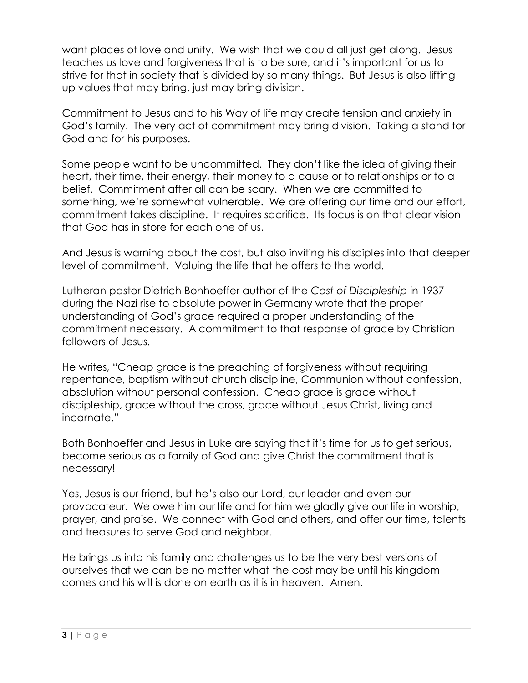want places of love and unity. We wish that we could all just get along. Jesus teaches us love and forgiveness that is to be sure, and it's important for us to strive for that in society that is divided by so many things. But Jesus is also lifting up values that may bring, just may bring division.

Commitment to Jesus and to his Way of life may create tension and anxiety in God's family. The very act of commitment may bring division. Taking a stand for God and for his purposes.

Some people want to be uncommitted. They don't like the idea of giving their heart, their time, their energy, their money to a cause or to relationships or to a belief. Commitment after all can be scary. When we are committed to something, we're somewhat vulnerable. We are offering our time and our effort, commitment takes discipline. It requires sacrifice. Its focus is on that clear vision that God has in store for each one of us.

And Jesus is warning about the cost, but also inviting his disciples into that deeper level of commitment. Valuing the life that he offers to the world.

Lutheran pastor Dietrich Bonhoeffer author of the *Cost of Discipleship* in 1937 during the Nazi rise to absolute power in Germany wrote that the proper understanding of God's grace required a proper understanding of the commitment necessary. A commitment to that response of grace by Christian followers of Jesus.

He writes, "Cheap grace is the preaching of forgiveness without requiring repentance, baptism without church discipline, Communion without confession, absolution without personal confession. Cheap grace is grace without discipleship, grace without the cross, grace without Jesus Christ, living and incarnate."

Both Bonhoeffer and Jesus in Luke are saying that it's time for us to get serious, become serious as a family of God and give Christ the commitment that is necessary!

Yes, Jesus is our friend, but he's also our Lord, our leader and even our provocateur. We owe him our life and for him we gladly give our life in worship, prayer, and praise. We connect with God and others, and offer our time, talents and treasures to serve God and neighbor.

He brings us into his family and challenges us to be the very best versions of ourselves that we can be no matter what the cost may be until his kingdom comes and his will is done on earth as it is in heaven. Amen.